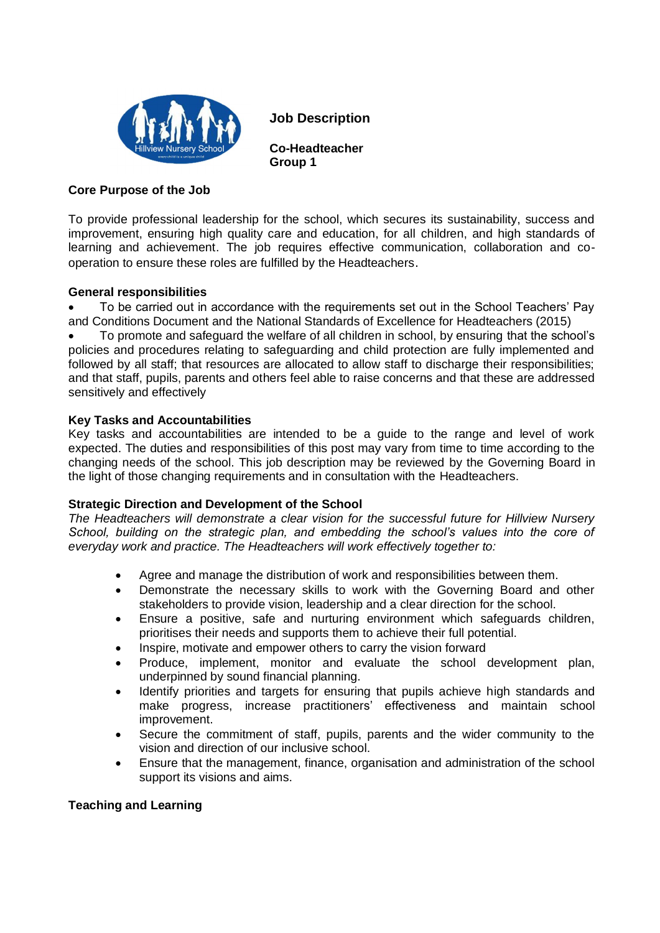

**J Job Description**

**Co-Headteacher Group 1** 

## **Core Purpose of the Job**

To provide professional leadership for the school, which secures its sustainability, success and improvement, ensuring high quality care and education, for all children, and high standards of learning and achievement. The job requires effective communication, collaboration and cooperation to ensure these roles are fulfilled by the Headteachers.

### **General responsibilities**

• To be carried out in accordance with the requirements set out in the School Teachers' Pay and Conditions Document and the National Standards of Excellence for Headteachers (2015)

• To promote and safeguard the welfare of all children in school, by ensuring that the school's policies and procedures relating to safeguarding and child protection are fully implemented and followed by all staff; that resources are allocated to allow staff to discharge their responsibilities; and that staff, pupils, parents and others feel able to raise concerns and that these are addressed sensitively and effectively

# **Key Tasks and Accountabilities**

Key tasks and accountabilities are intended to be a guide to the range and level of work expected. The duties and responsibilities of this post may vary from time to time according to the changing needs of the school. This job description may be reviewed by the Governing Board in the light of those changing requirements and in consultation with the Headteachers.

### **Strategic Direction and Development of the School**

*The Headteachers will demonstrate a clear vision for the successful future for Hillview Nursery School, building on the strategic plan, and embedding the school's values into the core of everyday work and practice. The Headteachers will work effectively together to:*

- Agree and manage the distribution of work and responsibilities between them.
- Demonstrate the necessary skills to work with the Governing Board and other stakeholders to provide vision, leadership and a clear direction for the school.
- Ensure a positive, safe and nurturing environment which safeguards children, prioritises their needs and supports them to achieve their full potential.
- Inspire, motivate and empower others to carry the vision forward
- Produce, implement, monitor and evaluate the school development plan, underpinned by sound financial planning.
- Identify priorities and targets for ensuring that pupils achieve high standards and make progress, increase practitioners' effectiveness and maintain school improvement.
- Secure the commitment of staff, pupils, parents and the wider community to the vision and direction of our inclusive school.
- Ensure that the management, finance, organisation and administration of the school support its visions and aims.

### **Teaching and Learning**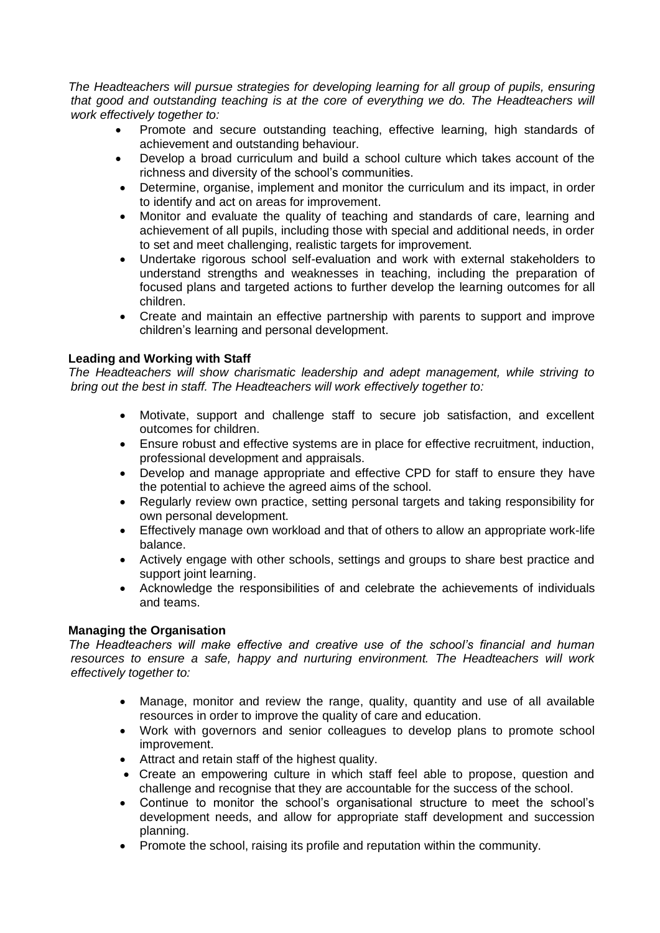*The Headteachers will pursue strategies for developing learning for all group of pupils, ensuring that good and outstanding teaching is at the core of everything we do. The Headteachers will work effectively together to:*

- Promote and secure outstanding teaching, effective learning, high standards of achievement and outstanding behaviour.
- Develop a broad curriculum and build a school culture which takes account of the richness and diversity of the school's communities.
- Determine, organise, implement and monitor the curriculum and its impact, in order to identify and act on areas for improvement.
- Monitor and evaluate the quality of teaching and standards of care, learning and achievement of all pupils, including those with special and additional needs, in order to set and meet challenging, realistic targets for improvement.
- Undertake rigorous school self-evaluation and work with external stakeholders to understand strengths and weaknesses in teaching, including the preparation of focused plans and targeted actions to further develop the learning outcomes for all children.
- Create and maintain an effective partnership with parents to support and improve children's learning and personal development.

# **Leading and Working with Staff**

*The Headteachers will show charismatic leadership and adept management, while striving to bring out the best in staff. The Headteachers will work effectively together to:*

- Motivate, support and challenge staff to secure job satisfaction, and excellent outcomes for children.
- Ensure robust and effective systems are in place for effective recruitment, induction, professional development and appraisals.
- Develop and manage appropriate and effective CPD for staff to ensure they have the potential to achieve the agreed aims of the school.
- Regularly review own practice, setting personal targets and taking responsibility for own personal development.
- Effectively manage own workload and that of others to allow an appropriate work-life balance.
- Actively engage with other schools, settings and groups to share best practice and support joint learning.
- Acknowledge the responsibilities of and celebrate the achievements of individuals and teams.

### **Managing the Organisation**

*The Headteachers will make effective and creative use of the school's financial and human resources to ensure a safe, happy and nurturing environment. The Headteachers will work effectively together to:*

- Manage, monitor and review the range, quality, quantity and use of all available resources in order to improve the quality of care and education.
- Work with governors and senior colleagues to develop plans to promote school improvement.
- Attract and retain staff of the highest quality.
- Create an empowering culture in which staff feel able to propose, question and challenge and recognise that they are accountable for the success of the school.
- Continue to monitor the school's organisational structure to meet the school's development needs, and allow for appropriate staff development and succession planning.
- Promote the school, raising its profile and reputation within the community.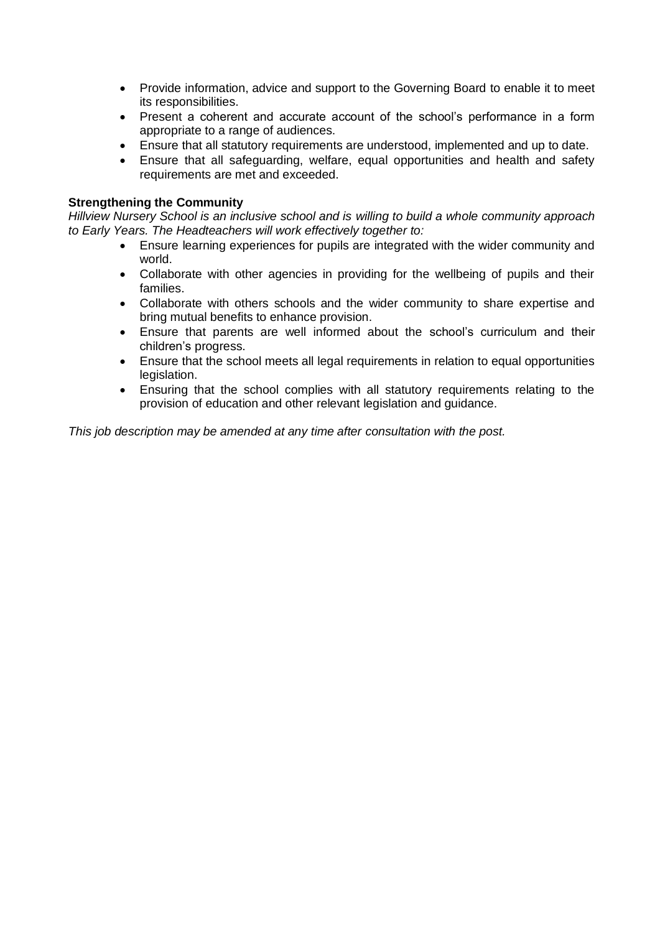- Provide information, advice and support to the Governing Board to enable it to meet its responsibilities.
- Present a coherent and accurate account of the school's performance in a form appropriate to a range of audiences.
- Ensure that all statutory requirements are understood, implemented and up to date.
- Ensure that all safeguarding, welfare, equal opportunities and health and safety requirements are met and exceeded.

#### **Strengthening the Community**

*Hillview Nursery School is an inclusive school and is willing to build a whole community approach to Early Years. The Headteachers will work effectively together to:*

- Ensure learning experiences for pupils are integrated with the wider community and world.
- Collaborate with other agencies in providing for the wellbeing of pupils and their families.
- Collaborate with others schools and the wider community to share expertise and bring mutual benefits to enhance provision.
- Ensure that parents are well informed about the school's curriculum and their children's progress.
- Ensure that the school meets all legal requirements in relation to equal opportunities legislation.
- Ensuring that the school complies with all statutory requirements relating to the provision of education and other relevant legislation and guidance.

*This job description may be amended at any time after consultation with the post.*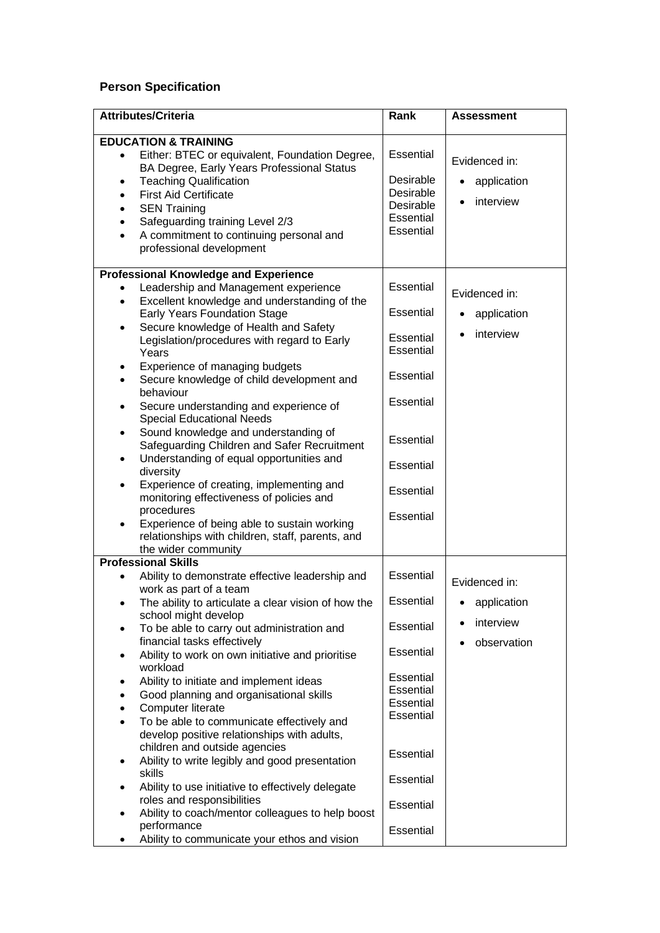# **Person Specification**

| <b>Attributes/Criteria</b>                                                                                                                                                                                                                                                                                                                                                                                                                                                                                                                                                                                                                                                                                                                                                                                                                                                                                                                              | Rank                                                                                                                                                     | <b>Assessment</b>                                        |
|---------------------------------------------------------------------------------------------------------------------------------------------------------------------------------------------------------------------------------------------------------------------------------------------------------------------------------------------------------------------------------------------------------------------------------------------------------------------------------------------------------------------------------------------------------------------------------------------------------------------------------------------------------------------------------------------------------------------------------------------------------------------------------------------------------------------------------------------------------------------------------------------------------------------------------------------------------|----------------------------------------------------------------------------------------------------------------------------------------------------------|----------------------------------------------------------|
| <b>EDUCATION &amp; TRAINING</b><br>Either: BTEC or equivalent, Foundation Degree,<br>$\bullet$<br>BA Degree, Early Years Professional Status<br><b>Teaching Qualification</b><br>$\bullet$<br><b>First Aid Certificate</b><br>$\bullet$<br><b>SEN Training</b><br>$\bullet$<br>Safeguarding training Level 2/3<br>$\bullet$<br>A commitment to continuing personal and<br>$\bullet$<br>professional development                                                                                                                                                                                                                                                                                                                                                                                                                                                                                                                                         | Essential<br>Desirable<br>Desirable<br>Desirable<br>Essential<br>Essential                                                                               | Evidenced in:<br>application<br>$\bullet$<br>interview   |
| <b>Professional Knowledge and Experience</b><br>Leadership and Management experience<br>Excellent knowledge and understanding of the<br>$\bullet$<br><b>Early Years Foundation Stage</b><br>Secure knowledge of Health and Safety<br>$\bullet$<br>Legislation/procedures with regard to Early<br>Years<br>Experience of managing budgets<br>٠<br>Secure knowledge of child development and<br>$\bullet$<br>behaviour<br>Secure understanding and experience of<br>$\bullet$<br><b>Special Educational Needs</b><br>Sound knowledge and understanding of<br>$\bullet$<br>Safeguarding Children and Safer Recruitment<br>Understanding of equal opportunities and<br>$\bullet$<br>diversity<br>Experience of creating, implementing and<br>$\bullet$<br>monitoring effectiveness of policies and<br>procedures<br>Experience of being able to sustain working<br>relationships with children, staff, parents, and<br>the wider community                  | Essential<br>Essential<br>Essential<br>Essential<br>Essential<br>Essential<br>Essential<br>Essential<br>Essential<br>Essential                           | Evidenced in:<br>application<br>$\bullet$<br>interview   |
| <b>Professional Skills</b><br>Ability to demonstrate effective leadership and<br>work as part of a team<br>The ability to articulate a clear vision of how the<br>school might develop<br>To be able to carry out administration and<br>$\bullet$<br>financial tasks effectively<br>Ability to work on own initiative and prioritise<br>٠<br>workload<br>Ability to initiate and implement ideas<br>٠<br>Good planning and organisational skills<br>$\bullet$<br>Computer literate<br>$\bullet$<br>To be able to communicate effectively and<br>$\bullet$<br>develop positive relationships with adults,<br>children and outside agencies<br>Ability to write legibly and good presentation<br>$\bullet$<br>skills<br>Ability to use initiative to effectively delegate<br>$\bullet$<br>roles and responsibilities<br>Ability to coach/mentor colleagues to help boost<br>$\bullet$<br>performance<br>Ability to communicate your ethos and vision<br>٠ | Essential<br>Essential<br>Essential<br>Essential<br>Essential<br>Essential<br>Essential<br>Essential<br>Essential<br>Essential<br>Essential<br>Essential | Evidenced in:<br>application<br>interview<br>observation |